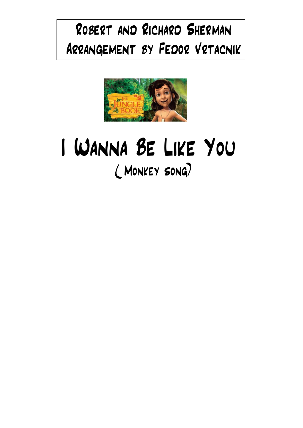## Robert and Richard Sherman Arrangement by Fedor Vrtacnik



## I Wanna Be Like You ( Monkey song)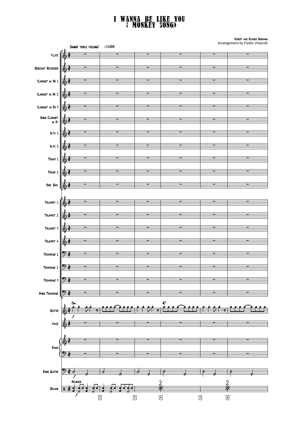## I Wanna Be like You ( Monkey song)

í l ֦֧֦֧֦֧֦֧֦֧ׅ֦֧ׅ֦ׅ֧ׅ֧֦֧ׅ֧֬֝֝֟֓֕֜֜֜֜֜֜֜֜֜֜֬֜֓֡֬֓֜֓֜֓ Į  $\setminus$ FLUTE  $\sqrt{\frac{A}{A}}$ Descant Recorder Clarinet in Bb 1 Clarinet in Bb 2 Clarinet in Bb 3 Bass Clarinet in Bb Alto 1 Alto 2 Tenor 1 Tenor 2 Bari. Sax. TRUMPET 1  $\left[\begin{matrix}A & B \\ C & C\end{matrix}\right]$ Trumpet 2 Trumpet 3 Trumpet 4 TROMBONE 1 Trombone 2 <del>9: C</del> Trombone 3 Bass Trombone Guitar Voice Pian Bass Guitar DRUMS  $\frac{11}{11}$   $\frac{11}{11}$ Swing( triple feeling) d=100 f  $\mathsf{c}_{\mathsf{m}}$  and  $\mathsf{c}_{\mathsf{r}}$  and  $\mathsf{c}_{\mathsf{r}}$  and  $\mathsf{c}_{\mathsf{r}}$  and  $\mathsf{c}_{\mathsf{r}}$ f f 2 | 3 | 3 | 4 | 5 | 6 ¢ ¢  $\dot{\phi}$  $\frac{1}{2}$ ¢ ¢ 4 4  $\dot{\phi}$ ¢  $\dot{\phi}$  $\dot{\phi}$ ¢  $9t$ ን የ ¢ ¢ ¢ ¢ 9: p 60 - - - - - - - - - - - - Robert and Richard Sherman Arrangement by Fedor Vrtacnik ₽ ļ 60 - - - - - - - - - - 60 - - - - - - - - - - $\gamma$   $\phi$  and the contract of the contract of the contract of the contract of the contract of the contract of the contract of the contract of the contract of the contract of the contract of the contract of the contract of  $\gamma$   $\phi$  and the contract of the contract of the contract of the contract of the contract of the contract of the contract of the contract of the contract of the contract of the contract of the contract of the contract of  $\gamma$  , and a set of the contract of the contract of the contract of the contract of the contract of the contract of the contract of the contract of the contract of the contract of the contract of the contract of the contr  $\gamma$   $_{\theta}$  , and the contract of the contract of the contract of the contract of the contract of the contract of the contract of the contract of the contract of the contract of the contract of the contract of the contrac  $\sigma_i$  ( ) and ( ) and ( ) and ( ) and ( ) and ( ) and ( ) and ( ) and ( ) and ( ) and ( ) and ( ) and ( ) and ( ) and ( ) and ( ) and ( ) and ( ) and ( ) and ( ) and ( ) and ( ) and ( ) and ( ) and ( ) and ( ) and ( ) and Brushes <u>'H, </u>  $\overline{2}$ <u>'H, </u>  $\overline{2}$ خص .<br>.<br>. e.<br>26 <u>.</u> e.<br>21 : <u>vice Ceerri</u> <u>.</u> e.<br>21 j  $\frac{1}{2}$  <del>:</del>  $\frac{1}{\lambda}$  $\frac{1}{2}$  $\cdot$  :  $\frac{1}{x}$  .  $\mathbf{r}$